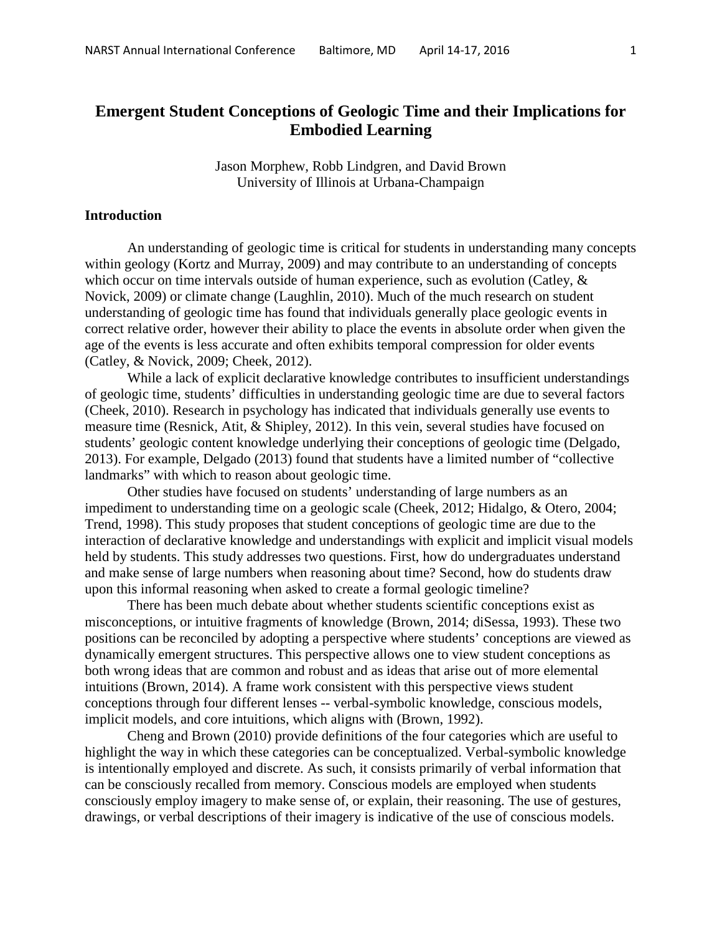# **Emergent Student Conceptions of Geologic Time and their Implications for Embodied Learning**

Jason Morphew, Robb Lindgren, and David Brown University of Illinois at Urbana-Champaign

# **Introduction**

An understanding of geologic time is critical for students in understanding many concepts within geology (Kortz and Murray, 2009) and may contribute to an understanding of concepts which occur on time intervals outside of human experience, such as evolution (Catley,  $\&$ Novick, 2009) or climate change (Laughlin, 2010). Much of the much research on student understanding of geologic time has found that individuals generally place geologic events in correct relative order, however their ability to place the events in absolute order when given the age of the events is less accurate and often exhibits temporal compression for older events (Catley, & Novick, 2009; Cheek, 2012).

While a lack of explicit declarative knowledge contributes to insufficient understandings of geologic time, students' difficulties in understanding geologic time are due to several factors (Cheek, 2010). Research in psychology has indicated that individuals generally use events to measure time (Resnick, Atit, & Shipley, 2012). In this vein, several studies have focused on students' geologic content knowledge underlying their conceptions of geologic time (Delgado, 2013). For example, Delgado (2013) found that students have a limited number of "collective landmarks" with which to reason about geologic time.

Other studies have focused on students' understanding of large numbers as an impediment to understanding time on a geologic scale (Cheek, 2012; Hidalgo, & Otero, 2004; Trend, 1998). This study proposes that student conceptions of geologic time are due to the interaction of declarative knowledge and understandings with explicit and implicit visual models held by students. This study addresses two questions. First, how do undergraduates understand and make sense of large numbers when reasoning about time? Second, how do students draw upon this informal reasoning when asked to create a formal geologic timeline?

There has been much debate about whether students scientific conceptions exist as misconceptions, or intuitive fragments of knowledge (Brown, 2014; diSessa, 1993). These two positions can be reconciled by adopting a perspective where students' conceptions are viewed as dynamically emergent structures. This perspective allows one to view student conceptions as both wrong ideas that are common and robust and as ideas that arise out of more elemental intuitions (Brown, 2014). A frame work consistent with this perspective views student conceptions through four different lenses -- verbal-symbolic knowledge, conscious models, implicit models, and core intuitions, which aligns with (Brown, 1992).

Cheng and Brown (2010) provide definitions of the four categories which are useful to highlight the way in which these categories can be conceptualized. Verbal-symbolic knowledge is intentionally employed and discrete. As such, it consists primarily of verbal information that can be consciously recalled from memory. Conscious models are employed when students consciously employ imagery to make sense of, or explain, their reasoning. The use of gestures, drawings, or verbal descriptions of their imagery is indicative of the use of conscious models.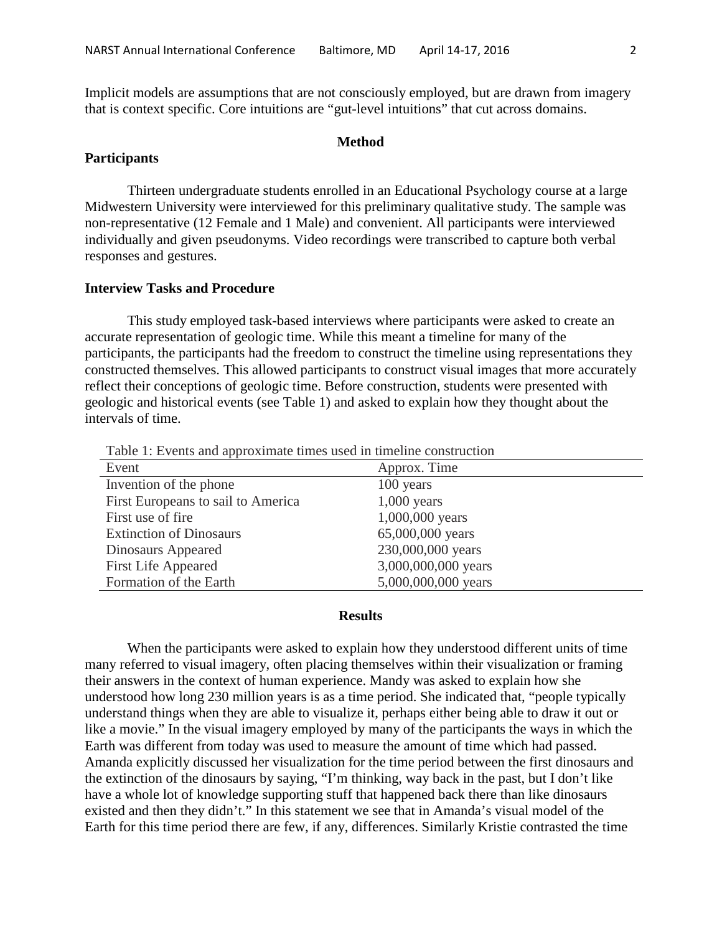Implicit models are assumptions that are not consciously employed, but are drawn from imagery that is context specific. Core intuitions are "gut-level intuitions" that cut across domains.

#### **Method**

## **Participants**

Thirteen undergraduate students enrolled in an Educational Psychology course at a large Midwestern University were interviewed for this preliminary qualitative study. The sample was non-representative (12 Female and 1 Male) and convenient. All participants were interviewed individually and given pseudonyms. Video recordings were transcribed to capture both verbal responses and gestures.

# **Interview Tasks and Procedure**

This study employed task-based interviews where participants were asked to create an accurate representation of geologic time. While this meant a timeline for many of the participants, the participants had the freedom to construct the timeline using representations they constructed themselves. This allowed participants to construct visual images that more accurately reflect their conceptions of geologic time. Before construction, students were presented with geologic and historical events (see Table 1) and asked to explain how they thought about the intervals of time.

Table 1: Events and approximate times used in timeline construction

| Event                              | Approx. Time        |
|------------------------------------|---------------------|
| Invention of the phone             | 100 years           |
| First Europeans to sail to America | $1,000$ years       |
| First use of fire                  | 1,000,000 years     |
| <b>Extinction of Dinosaurs</b>     | 65,000,000 years    |
| Dinosaurs Appeared                 | 230,000,000 years   |
| <b>First Life Appeared</b>         | 3,000,000,000 years |
| Formation of the Earth             | 5,000,000,000 years |

### **Results**

When the participants were asked to explain how they understood different units of time many referred to visual imagery, often placing themselves within their visualization or framing their answers in the context of human experience. Mandy was asked to explain how she understood how long 230 million years is as a time period. She indicated that, "people typically understand things when they are able to visualize it, perhaps either being able to draw it out or like a movie." In the visual imagery employed by many of the participants the ways in which the Earth was different from today was used to measure the amount of time which had passed. Amanda explicitly discussed her visualization for the time period between the first dinosaurs and the extinction of the dinosaurs by saying, "I'm thinking, way back in the past, but I don't like have a whole lot of knowledge supporting stuff that happened back there than like dinosaurs existed and then they didn't." In this statement we see that in Amanda's visual model of the Earth for this time period there are few, if any, differences. Similarly Kristie contrasted the time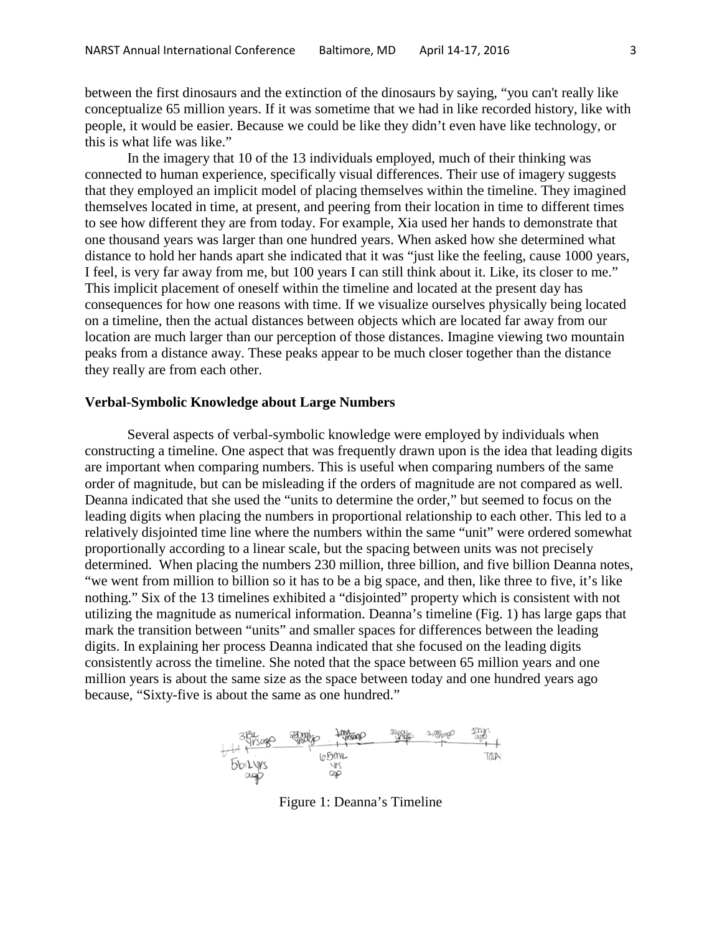between the first dinosaurs and the extinction of the dinosaurs by saying, "you can't really like conceptualize 65 million years. If it was sometime that we had in like recorded history, like with people, it would be easier. Because we could be like they didn't even have like technology, or this is what life was like."

In the imagery that 10 of the 13 individuals employed, much of their thinking was connected to human experience, specifically visual differences. Their use of imagery suggests that they employed an implicit model of placing themselves within the timeline. They imagined themselves located in time, at present, and peering from their location in time to different times to see how different they are from today. For example, Xia used her hands to demonstrate that one thousand years was larger than one hundred years. When asked how she determined what distance to hold her hands apart she indicated that it was "just like the feeling, cause 1000 years, I feel, is very far away from me, but 100 years I can still think about it. Like, its closer to me." This implicit placement of oneself within the timeline and located at the present day has consequences for how one reasons with time. If we visualize ourselves physically being located on a timeline, then the actual distances between objects which are located far away from our location are much larger than our perception of those distances. Imagine viewing two mountain peaks from a distance away. These peaks appear to be much closer together than the distance they really are from each other.

### **Verbal-Symbolic Knowledge about Large Numbers**

Several aspects of verbal-symbolic knowledge were employed by individuals when constructing a timeline. One aspect that was frequently drawn upon is the idea that leading digits are important when comparing numbers. This is useful when comparing numbers of the same order of magnitude, but can be misleading if the orders of magnitude are not compared as well. Deanna indicated that she used the "units to determine the order," but seemed to focus on the leading digits when placing the numbers in proportional relationship to each other. This led to a relatively disjointed time line where the numbers within the same "unit" were ordered somewhat proportionally according to a linear scale, but the spacing between units was not precisely determined. When placing the numbers 230 million, three billion, and five billion Deanna notes, "we went from million to billion so it has to be a big space, and then, like three to five, it's like nothing." Six of the 13 timelines exhibited a "disjointed" property which is consistent with not utilizing the magnitude as numerical information. Deanna's timeline (Fig. 1) has large gaps that mark the transition between "units" and smaller spaces for differences between the leading digits. In explaining her process Deanna indicated that she focused on the leading digits consistently across the timeline. She noted that the space between 65 million years and one million years is about the same size as the space between today and one hundred years ago because, "Sixty-five is about the same as one hundred."



Figure 1: Deanna's Timeline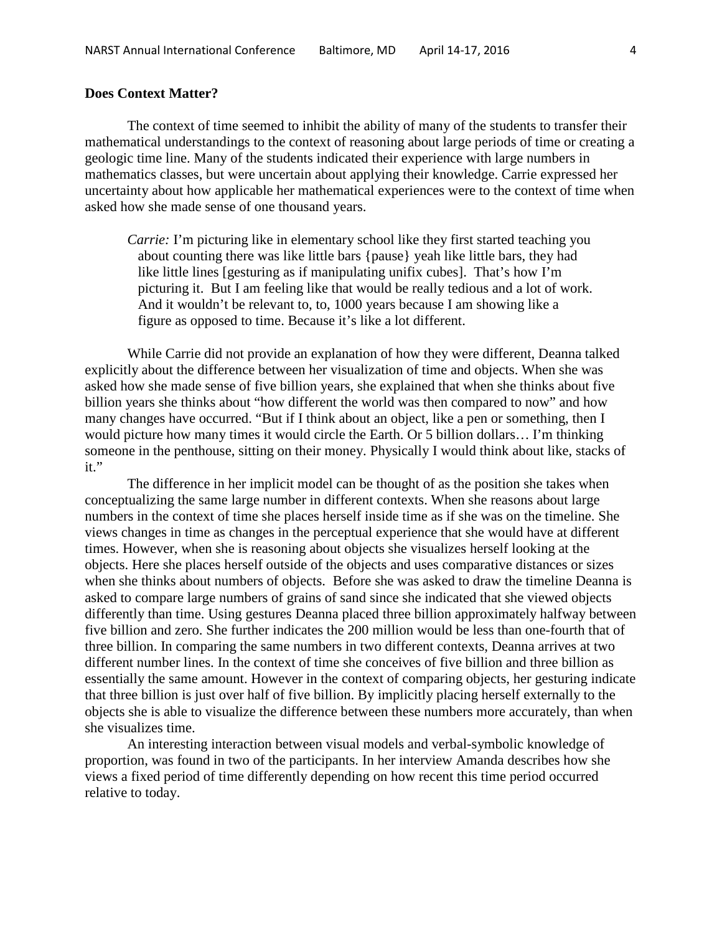# **Does Context Matter?**

The context of time seemed to inhibit the ability of many of the students to transfer their mathematical understandings to the context of reasoning about large periods of time or creating a geologic time line. Many of the students indicated their experience with large numbers in mathematics classes, but were uncertain about applying their knowledge. Carrie expressed her uncertainty about how applicable her mathematical experiences were to the context of time when asked how she made sense of one thousand years.

*Carrie:* I'm picturing like in elementary school like they first started teaching you about counting there was like little bars {pause} yeah like little bars, they had like little lines [gesturing as if manipulating unifix cubes]. That's how I'm picturing it. But I am feeling like that would be really tedious and a lot of work. And it wouldn't be relevant to, to, 1000 years because I am showing like a figure as opposed to time. Because it's like a lot different.

While Carrie did not provide an explanation of how they were different, Deanna talked explicitly about the difference between her visualization of time and objects. When she was asked how she made sense of five billion years, she explained that when she thinks about five billion years she thinks about "how different the world was then compared to now" and how many changes have occurred. "But if I think about an object, like a pen or something, then I would picture how many times it would circle the Earth. Or 5 billion dollars… I'm thinking someone in the penthouse, sitting on their money. Physically I would think about like, stacks of it."

The difference in her implicit model can be thought of as the position she takes when conceptualizing the same large number in different contexts. When she reasons about large numbers in the context of time she places herself inside time as if she was on the timeline. She views changes in time as changes in the perceptual experience that she would have at different times. However, when she is reasoning about objects she visualizes herself looking at the objects. Here she places herself outside of the objects and uses comparative distances or sizes when she thinks about numbers of objects. Before she was asked to draw the timeline Deanna is asked to compare large numbers of grains of sand since she indicated that she viewed objects differently than time. Using gestures Deanna placed three billion approximately halfway between five billion and zero. She further indicates the 200 million would be less than one-fourth that of three billion. In comparing the same numbers in two different contexts, Deanna arrives at two different number lines. In the context of time she conceives of five billion and three billion as essentially the same amount. However in the context of comparing objects, her gesturing indicate that three billion is just over half of five billion. By implicitly placing herself externally to the objects she is able to visualize the difference between these numbers more accurately, than when she visualizes time.

An interesting interaction between visual models and verbal-symbolic knowledge of proportion, was found in two of the participants. In her interview Amanda describes how she views a fixed period of time differently depending on how recent this time period occurred relative to today.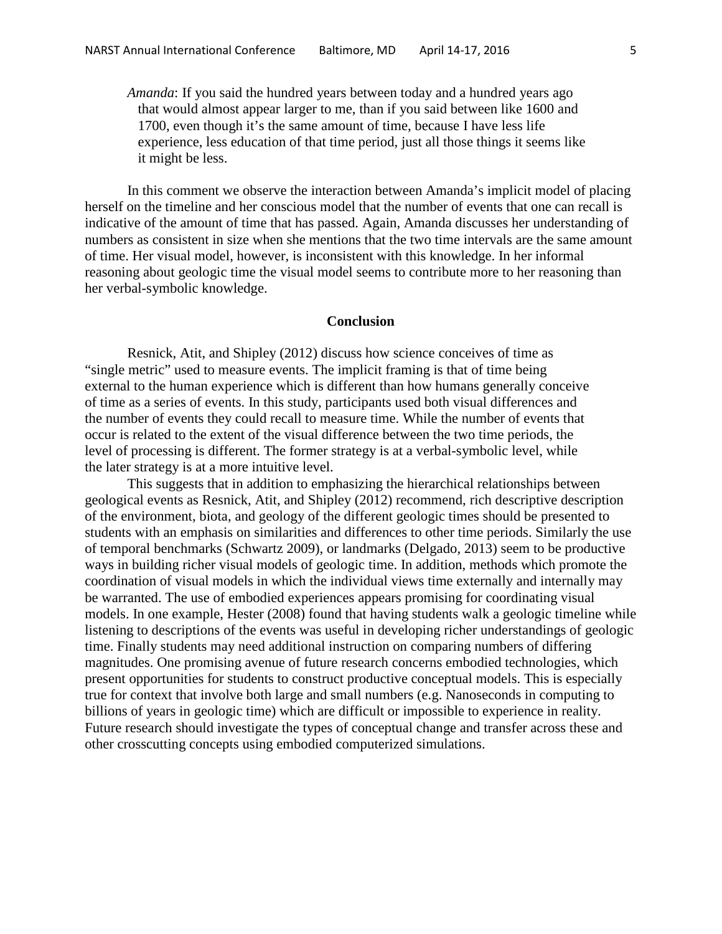*Amanda*: If you said the hundred years between today and a hundred years ago that would almost appear larger to me, than if you said between like 1600 and 1700, even though it's the same amount of time, because I have less life experience, less education of that time period, just all those things it seems like it might be less.

In this comment we observe the interaction between Amanda's implicit model of placing herself on the timeline and her conscious model that the number of events that one can recall is indicative of the amount of time that has passed. Again, Amanda discusses her understanding of numbers as consistent in size when she mentions that the two time intervals are the same amount of time. Her visual model, however, is inconsistent with this knowledge. In her informal reasoning about geologic time the visual model seems to contribute more to her reasoning than her verbal-symbolic knowledge.

## **Conclusion**

Resnick, Atit, and Shipley (2012) discuss how science conceives of time as "single metric" used to measure events. The implicit framing is that of time being external to the human experience which is different than how humans generally conceive of time as a series of events. In this study, participants used both visual differences and the number of events they could recall to measure time. While the number of events that occur is related to the extent of the visual difference between the two time periods, the level of processing is different. The former strategy is at a verbal-symbolic level, while the later strategy is at a more intuitive level.

This suggests that in addition to emphasizing the hierarchical relationships between geological events as Resnick, Atit, and Shipley (2012) recommend, rich descriptive description of the environment, biota, and geology of the different geologic times should be presented to students with an emphasis on similarities and differences to other time periods. Similarly the use of temporal benchmarks (Schwartz 2009), or landmarks (Delgado, 2013) seem to be productive ways in building richer visual models of geologic time. In addition, methods which promote the coordination of visual models in which the individual views time externally and internally may be warranted. The use of embodied experiences appears promising for coordinating visual models. In one example, Hester (2008) found that having students walk a geologic timeline while listening to descriptions of the events was useful in developing richer understandings of geologic time. Finally students may need additional instruction on comparing numbers of differing magnitudes. One promising avenue of future research concerns embodied technologies, which present opportunities for students to construct productive conceptual models. This is especially true for context that involve both large and small numbers (e.g. Nanoseconds in computing to billions of years in geologic time) which are difficult or impossible to experience in reality. Future research should investigate the types of conceptual change and transfer across these and other crosscutting concepts using embodied computerized simulations.